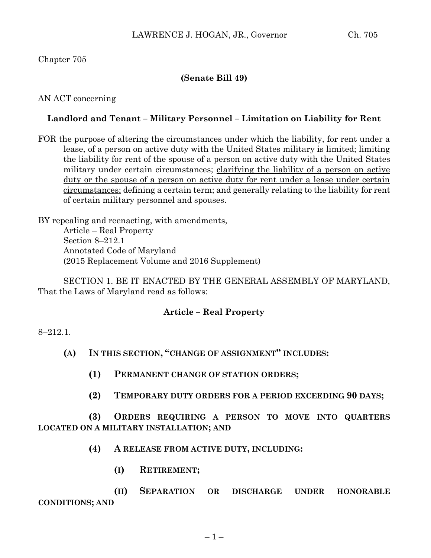# Chapter 705

# **(Senate Bill 49)**

#### AN ACT concerning

### **Landlord and Tenant – Military Personnel – Limitation on Liability for Rent**

FOR the purpose of altering the circumstances under which the liability, for rent under a lease, of a person on active duty with the United States military is limited; limiting the liability for rent of the spouse of a person on active duty with the United States military under certain circumstances; clarifying the liability of a person on active duty or the spouse of a person on active duty for rent under a lease under certain circumstances; defining a certain term; and generally relating to the liability for rent of certain military personnel and spouses.

BY repealing and reenacting, with amendments, Article – Real Property Section 8–212.1 Annotated Code of Maryland (2015 Replacement Volume and 2016 Supplement)

SECTION 1. BE IT ENACTED BY THE GENERAL ASSEMBLY OF MARYLAND, That the Laws of Maryland read as follows:

### **Article – Real Property**

#### 8–212.1.

- **(A) IN THIS SECTION, "CHANGE OF ASSIGNMENT" INCLUDES:**
	- **(1) PERMANENT CHANGE OF STATION ORDERS;**
	- **(2) TEMPORARY DUTY ORDERS FOR A PERIOD EXCEEDING 90 DAYS;**

**(3) ORDERS REQUIRING A PERSON TO MOVE INTO QUARTERS LOCATED ON A MILITARY INSTALLATION; AND**

- **(4) A RELEASE FROM ACTIVE DUTY, INCLUDING:**
	- **(I) RETIREMENT;**

**(II) SEPARATION OR DISCHARGE UNDER HONORABLE CONDITIONS; AND**